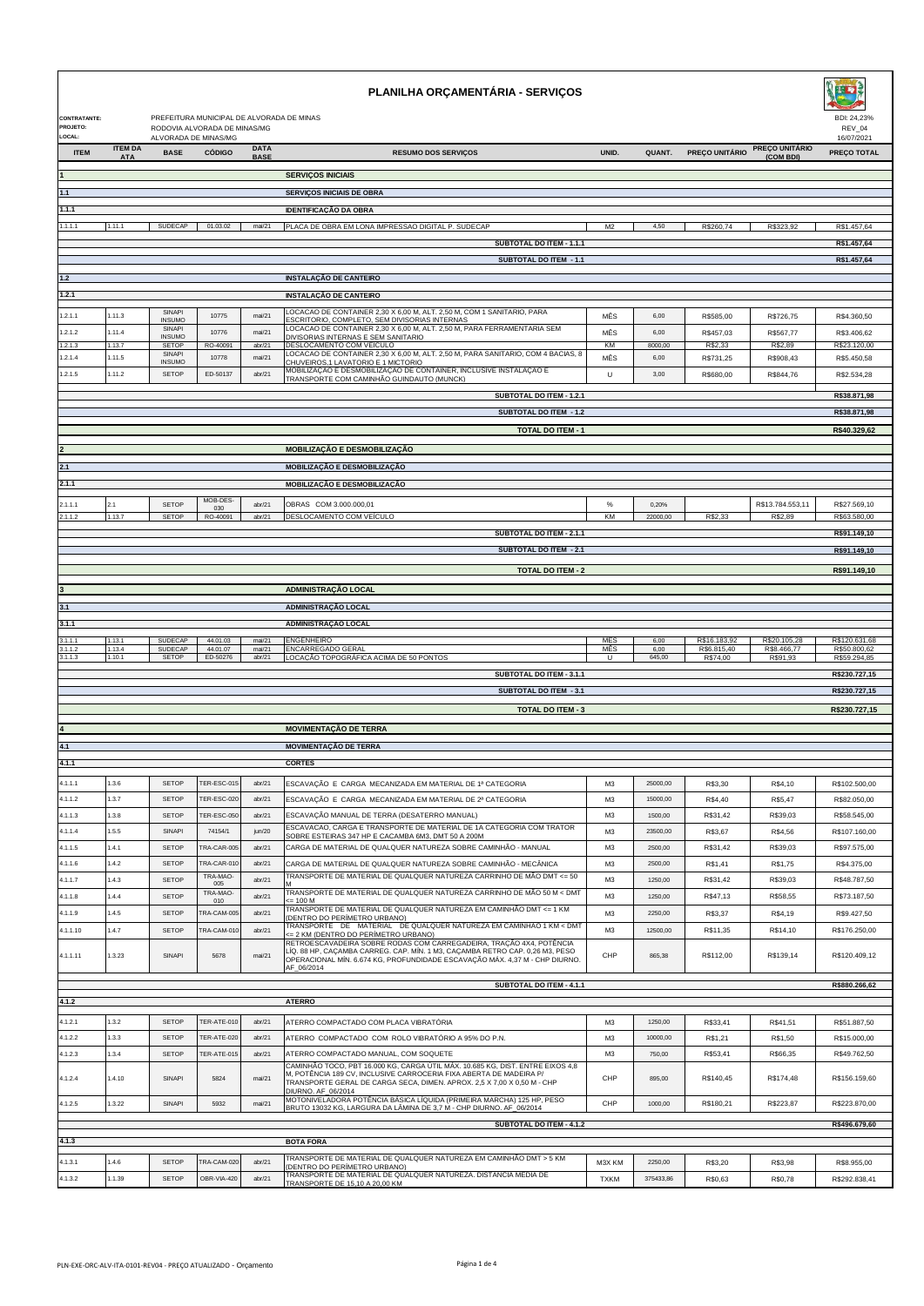| CONTRATANTE:<br>PROJETO:   |                            |                                     | PREFEITURA MUNICIPAL DE ALVORADA DE MINAS<br>RODOVIA ALVORADA DE MINAS/MG |                            | PLANILHA ORÇAMENTÁRIA - SERVIÇOS                                                                                                                                                                                                |                       |                        |                                         |                                         | BDI: 24.23%<br>REV_04                         |
|----------------------------|----------------------------|-------------------------------------|---------------------------------------------------------------------------|----------------------------|---------------------------------------------------------------------------------------------------------------------------------------------------------------------------------------------------------------------------------|-----------------------|------------------------|-----------------------------------------|-----------------------------------------|-----------------------------------------------|
| LOCAL:<br><b>ITEM</b>      | <b>ITEM DA</b>             | ALVORADA DE MINAS/MG<br><b>BASE</b> | <b>CÓDIGO</b>                                                             | <b>DATA</b>                | <b>RESUMO DOS SERVICOS</b>                                                                                                                                                                                                      | UNID.                 | QUANT.                 | PREÇO UNITÁRIO                          | <b>PREÇO UNITÁRIO</b>                   | 16/07/2021<br><b>PREÇO TOTAL</b>              |
|                            | <b>ATA</b>                 |                                     |                                                                           | <b>BASE</b>                |                                                                                                                                                                                                                                 |                       |                        |                                         | (COM BDI)                               |                                               |
|                            |                            |                                     |                                                                           |                            | <b>SERVICOS INICIAIS</b>                                                                                                                                                                                                        |                       |                        |                                         |                                         |                                               |
| 1.1                        |                            |                                     |                                                                           |                            | <b>SERVIÇOS INICIAIS DE OBRA</b>                                                                                                                                                                                                |                       |                        |                                         |                                         |                                               |
| 1.1.1                      |                            |                                     |                                                                           |                            | <b>IDENTIFICAÇÃO DA OBRA</b><br>PLACA DE OBRA EM LONA IMPRESSAO DIGITAL P. SUDECAP                                                                                                                                              |                       |                        |                                         |                                         |                                               |
| 1.1.1.1                    | 1.11.1                     | SUDECAP                             | 01.03.02                                                                  | mai/21                     | SUBTOTAL DO ITEM - 1.1.1                                                                                                                                                                                                        | M <sub>2</sub>        | 4,50                   | R\$260,74                               | R\$323,92                               | R\$1.457,64<br>R\$1.457,64                    |
|                            |                            |                                     |                                                                           |                            | <b>SUBTOTAL DO ITEM - 1.1</b>                                                                                                                                                                                                   |                       |                        |                                         |                                         | R\$1.457,64                                   |
| $1.2$                      |                            |                                     |                                                                           |                            | <b>INSTALAÇÃO DE CANTEIRO</b>                                                                                                                                                                                                   |                       |                        |                                         |                                         |                                               |
| 1.2.1                      |                            |                                     |                                                                           |                            | <b>INSTALAÇÃO DE CANTEIRO</b>                                                                                                                                                                                                   |                       |                        |                                         |                                         |                                               |
| 1.2.1.1                    | 1.11.3                     | SINAPI                              | 10775                                                                     | mai/21                     | LOCACAO DE CONTAINER 2,30 X 6,00 M, ALT. 2,50 M, COM 1 SANITARIO, PARA                                                                                                                                                          | MÊS                   | 6,00                   | R\$585,00                               | R\$726,75                               | R\$4.360,50                                   |
| .2.1.2                     | 1.11.4                     | <b>INSUMO</b><br>SINAPI             | 10776                                                                     | mai/21                     | ESCRITORIO, COMPLETO, SEM DIVISORIAS INTERNAS<br>LOCACAO DE CONTAINER 2,30 X 6,00 M, ALT. 2,50 M, PARA FERRAMENTARIA SEM                                                                                                        | MÊS                   | 6,00                   | R\$457,03                               | R\$567,77                               | R\$3.406,62                                   |
| .2.1.3                     | 1.13.7                     | <b>INSUMO</b><br>SETOP              | RO-40091                                                                  | abr/21                     | DIVISORIAS INTERNAS E SEM SANITARIO<br>DESLOCAMENTO COM VEÍCULO                                                                                                                                                                 | KM                    | 8000,00                | R\$2,33                                 | R\$2,89                                 | R\$23.120,00                                  |
| 1.2.1.4                    | 1.11.5                     | SINAPI<br><b>INSUMO</b>             | 10778                                                                     | mai/21                     | LOCACAO DE CONTAINER 2,30 X 6,00 M, ALT. 2,50 M, PARA SANITARIO, COM 4 BACIAS, 8<br>CHUVEIROS,1 LAVATORIO E 1 MICTORIO                                                                                                          | MÊS                   | 6,00                   | R\$731,25                               | R\$908,43                               | R\$5,450.58                                   |
| 1.2.1.5                    | 1.11.2                     | <b>SETOP</b>                        | ED-50137                                                                  | abr/21                     | MOBILIZAÇÃO E DESMOBILIZAÇÃO DE CONTAINER, INCLUSIVE INSTALAÇÃO E<br>TRANSPORTE COM CAMINHÃO GUINDAUTO (MUNCK)                                                                                                                  | U                     | 3,00                   | R\$680,00                               | R\$844,76                               | R\$2.534,28                                   |
|                            |                            |                                     |                                                                           |                            | <b>SUBTOTAL DO ITEM - 1.2.1</b>                                                                                                                                                                                                 |                       |                        |                                         |                                         | R\$38.871,98                                  |
|                            |                            |                                     |                                                                           |                            | <b>SUBTOTAL DO ITEM - 1.2</b>                                                                                                                                                                                                   |                       |                        |                                         |                                         | R\$38.871,98                                  |
|                            |                            |                                     |                                                                           |                            | <b>TOTAL DO ITEM - 1</b>                                                                                                                                                                                                        |                       |                        |                                         |                                         | R\$40.329,62                                  |
|                            |                            |                                     |                                                                           |                            | MOBILIZAÇÃO E DESMOBILIZAÇÃO                                                                                                                                                                                                    |                       |                        |                                         |                                         |                                               |
| 2.1                        |                            |                                     |                                                                           |                            | MOBILIZAÇÃO E DESMOBILIZAÇÃO                                                                                                                                                                                                    |                       |                        |                                         |                                         |                                               |
| 2.1.1                      |                            |                                     |                                                                           |                            | MOBILIZAÇÃO E DESMOBILIZAÇÃO                                                                                                                                                                                                    |                       |                        |                                         |                                         |                                               |
| 2.1.1.1                    | 2.1                        | <b>SETOP</b>                        | MOB-DES-<br>030                                                           | abr/21                     | OBRAS COM 3.000.000,01                                                                                                                                                                                                          | $\%$                  | 0.20%                  |                                         | R\$13.784.553,11                        | R\$27,569.10                                  |
| 2.1.1.2                    | 1.13.7                     | SETOP                               | RO-40091                                                                  | abr/21                     | DESLOCAMENTO COM VEÍCULO                                                                                                                                                                                                        | KM                    | 22000,00               | R\$2,33                                 | R\$2,89                                 | R\$63.580,00                                  |
|                            |                            |                                     |                                                                           |                            | SUBTOTAL DO ITEM - 2.1.1                                                                                                                                                                                                        |                       |                        |                                         |                                         | R\$91.149,10                                  |
|                            |                            |                                     |                                                                           |                            | <b>SUBTOTAL DO ITEM - 2.1</b>                                                                                                                                                                                                   |                       |                        |                                         |                                         | R\$91.149,10                                  |
|                            |                            |                                     |                                                                           |                            | <b>TOTAL DO ITEM - 2</b>                                                                                                                                                                                                        |                       |                        |                                         |                                         | R\$91.149,10                                  |
|                            |                            |                                     |                                                                           |                            | ADMINISTRAÇÃO LOCAL                                                                                                                                                                                                             |                       |                        |                                         |                                         |                                               |
| 3.1                        |                            |                                     |                                                                           |                            | <b>ADMINISTRAÇÃO LOCAL</b>                                                                                                                                                                                                      |                       |                        |                                         |                                         |                                               |
| 3.1.1                      |                            |                                     |                                                                           |                            | ADMINISTRAÇÃO LOCAL                                                                                                                                                                                                             |                       |                        |                                         |                                         |                                               |
| .1.1.1<br>.1.1.2<br>.1.1.3 | 1.13.1<br>1.13.4<br>1.10.1 | SUDECAP<br>SUDECAP<br>SETOP         | 44.01.03<br>44.01.07<br>ED-50276                                          | mai/21<br>mai/21<br>abr/21 | <b>ENGENHEIRO</b><br><b>ENCARREGADO GERAL</b><br>LOCAÇÃO TOPOGRÁFICA ACIMA DE 50 PONTOS                                                                                                                                         | MÊS<br>MÊS<br>U       | 6,00<br>6,00<br>645,00 | R\$16.183,92<br>R\$6.815,40<br>R\$74,00 | R\$20.105,28<br>R\$8.466,77<br>R\$91,93 | R\$120.631,68<br>R\$50.800,62<br>R\$59.294,85 |
|                            |                            |                                     |                                                                           |                            | SUBTOTAL DO ITEM - 3.1.1                                                                                                                                                                                                        |                       |                        |                                         |                                         | R\$230.727,15                                 |
|                            |                            |                                     |                                                                           |                            | <b>SUBTOTAL DO ITEM - 3.1</b>                                                                                                                                                                                                   |                       |                        |                                         |                                         | R\$230.727,15                                 |
|                            |                            |                                     |                                                                           |                            | <b>TOTAL DO ITEM - 3</b>                                                                                                                                                                                                        |                       |                        |                                         |                                         | R\$230.727,15                                 |
|                            |                            |                                     |                                                                           |                            | <b>MOVIMENTAÇÃO DE TERRA</b>                                                                                                                                                                                                    |                       |                        |                                         |                                         |                                               |
| 4.1                        |                            |                                     |                                                                           |                            | <b>MOVIMENTAÇÃO DE TERRA</b>                                                                                                                                                                                                    |                       |                        |                                         |                                         |                                               |
|                            |                            |                                     |                                                                           |                            |                                                                                                                                                                                                                                 |                       |                        |                                         |                                         |                                               |
| 4.1.1.1                    | 1.3.6                      | <b>SETOP</b>                        | TER-ESC-015                                                               | abr/21                     | ESCAVAÇÃO E CARGA MECANIZADA EM MATERIAL DE 1ª CATEGORIA                                                                                                                                                                        | M3                    | 25000.00               | R\$3,30                                 | R\$4,10                                 | R\$102.500,00                                 |
| 4.1.1.2                    | 1.3.7                      | <b>SETOP</b>                        | TER-ESC-020                                                               | abr/21                     | ESCAVAÇÃO E CARGA MECANIZADA EM MATERIAL DE 2ª CATEGORIA                                                                                                                                                                        | M3                    | 15000,00               | R\$4,40                                 | R\$5,47                                 | R\$82.050,00                                  |
| 4.1.1.3                    | 1.3.8                      | <b>SETOP</b>                        | TER-ESC-050                                                               | abr/21                     | ESCAVAÇÃO MANUAL DE TERRA (DESATERRO MANUAL)                                                                                                                                                                                    | M3                    | 1500,00                | R\$31,42                                | R\$39,03                                | R\$58,545.00                                  |
| 4.1.1.4                    | 1.5.5                      | SINAPI                              | 74154/1                                                                   | jun/20                     | ESCAVACAO, CARGA E TRANSPORTE DE MATERIAL DE 1A CATEGORIA COM TRATOR<br>SOBRE ESTEIRAS 347 HP E CACAMBA 6M3, DMT 50 A 200M                                                                                                      | M <sub>3</sub>        | 23500,00               | R\$3,67                                 | R\$4,56                                 | R\$107.160,00                                 |
| 4.1.1.5                    | 1.4.1                      | SETOP                               | TRA-CAR-005                                                               | abr/21                     | CARGA DE MATERIAL DE QUALQUER NATUREZA SOBRE CAMINHÃO - MANUAL                                                                                                                                                                  | M3                    | 2500,00                | R\$31,42                                | R\$39,03                                | R\$97.575.00                                  |
| 4.1.1.6                    | 1.4.2                      | SETOP                               | TRA-CAR-010                                                               | abr/21                     | CARGA DE MATERIAL DE QUALQUER NATUREZA SOBRE CAMINHÃO - MECÂNICA                                                                                                                                                                | M3                    | 2500,00                | R\$1,41                                 | R\$1,75                                 | R\$4.375,00                                   |
| 4.1.1.7                    | 1.4.3                      | SETOP                               | TRA-MAO-<br>005                                                           | abr/21                     | TRANSPORTE DE MATERIAL DE QUALQUER NATUREZA CARRINHO DE MÃO DMT <= 50                                                                                                                                                           | M3                    | 1250,00                | R\$31,42                                | R\$39,03                                | R\$48.787,50                                  |
| 4.1.1.8                    | 1.4.4                      | <b>SETOP</b>                        | TRA-MAO-<br>010                                                           | abr/21                     | TRANSPORTE DE MATERIAL DE QUALQUER NATUREZA CARRINHO DE MÃO 50 M < DMT<br>$= 100 M$                                                                                                                                             | M <sub>3</sub>        | 1250,00                | R\$47,13                                | R\$58,55                                | R\$73.187,50                                  |
| 4.1.1.9                    | 1.4.5                      | <b>SETOP</b>                        | TRA-CAM-005                                                               | abr/21                     | TRANSPORTE DE MATERIAL DE QUALQUER NATUREZA EM CAMINHÃO DMT <= 1 KM<br>DENTRO DO PERÍMETRO URBANO)                                                                                                                              | M3                    | 2250,00                | R\$3,37                                 | R\$4,19                                 | R\$9.427,50                                   |
| 4.1.1.10                   | 1.47                       | <b>SETOP</b>                        | TRA-CAM-010                                                               | abr/21                     | TRANSPORTE DE MATERIAL DE QUALQUER NATUREZA EM CAMINHÃO 1 KM < DMT<br><= 2 KM (DENTRO DO PERÍMETRO URBANO)<br>RETROESCAVADEIRA SOBRE RODAS COM CARREGADEIRA, TRAÇÃO 4X4, POTÊNCIA                                               | M <sub>3</sub>        | 12500.00               | R\$11,35                                | R\$14,10                                | R\$176.250,00                                 |
| 4.1.1.11                   | 1.3.23                     | SINAPI                              | 5678                                                                      | mai/21                     | LÍQ. 88 HP, CAÇAMBA CARREG. CAP. MÍN. 1 M3, CAÇAMBA RETRO CAP. 0,26 M3, PESO<br>OPERACIONAL MÍN. 6.674 KG, PROFUNDIDADE ESCAVAÇÃO MÁX. 4,37 M - CHP DIURNO.<br>AF_06/2014                                                       | CHP                   | 865,38                 | R\$112,00                               | R\$139,14                               | R\$120.409,12                                 |
|                            |                            |                                     |                                                                           |                            | SUBTOTAL DO ITEM - 4.1.1                                                                                                                                                                                                        |                       |                        |                                         |                                         | R\$880.266,62                                 |
| 4.1.2                      |                            |                                     |                                                                           |                            | <b>ATERRO</b>                                                                                                                                                                                                                   |                       |                        |                                         |                                         |                                               |
| 4.1.2.1                    | 1.3.2                      | <b>SETOP</b>                        | TER-ATE-010                                                               | abr/21                     | ATERRO COMPACTADO COM PLACA VIBRATÓRIA                                                                                                                                                                                          | M <sub>3</sub>        | 1250,00                | R\$33,41                                | R\$41,51                                | R\$51.887,50                                  |
| 4.1.2.2                    | 1.3.3                      | <b>SETOP</b>                        | TER-ATE-020                                                               | abr/21                     | ATERRO COMPACTADO COM ROLO VIBRATÓRIO A 95% DO P.N.                                                                                                                                                                             | M3                    | 10000,00               | R\$1,21                                 | R\$1,50                                 | R\$15.000,00                                  |
| 4.1.2.3                    | 1.3.4                      | <b>SETOP</b>                        | TER-ATE-015                                                               | abr/21                     | ATERRO COMPACTADO MANUAL, COM SOQUETE                                                                                                                                                                                           | M <sub>3</sub>        | 750,00                 | R\$53,41                                | R\$66,35                                | R\$49.762,50                                  |
| 4.1.2.4                    | 1.4.10                     | SINAPI                              | 5824                                                                      | mai/21                     | CAMINHÃO TOCO, PBT 16.000 KG, CARGA ÚTIL MÁX. 10.685 KG, DIST. ENTRE EIXOS 4,8<br>M, POTÊNCIA 189 CV, INCLUSIVE CARROCERIA FIXA ABERTA DE MADEIRA P/<br>TRANSPORTE GERAL DE CARGA SECA, DIMEN. APROX. 2,5 X 7,00 X 0,50 M - CHP | CHP                   | 895.00                 | R\$140,45                               | R\$174,48                               | R\$156.159,60                                 |
| 4.1.2.5                    | 1.3.22                     | SINAPI                              | 5932                                                                      | mai/21                     | DIURNO. AF_06/2014<br>MOTONIVELADORA POTÊNCIA BÁSICA LÍQUIDA (PRIMEIRA MARCHA) 125 HP, PESO<br>BRUTO 13032 KG, LARGURA DA LÂMINA DE 3,7 M - CHP DIURNO. AF_06/2014                                                              | CHP                   | 1000,00                | R\$180,21                               | R\$223,87                               | R\$223.870,00                                 |
|                            |                            |                                     |                                                                           |                            | SUBTOTAL DO ITEM - 4.1.2                                                                                                                                                                                                        |                       |                        |                                         |                                         | R\$496.679,60                                 |
| 4.1.3                      |                            |                                     |                                                                           |                            |                                                                                                                                                                                                                                 |                       |                        |                                         |                                         |                                               |
|                            |                            |                                     |                                                                           |                            | <b>BOTA FORA</b>                                                                                                                                                                                                                |                       |                        |                                         |                                         |                                               |
|                            |                            |                                     |                                                                           |                            | TRANSPORTE DE MATERIAL DE QUALQUER NATUREZA EM CAMINHÃO DMT > 5 KM                                                                                                                                                              |                       |                        |                                         |                                         |                                               |
| 4.1.3.1<br>4.1.3.2         | 1.4.6<br>1.1.39            | <b>SETOP</b><br><b>SETOP</b>        | TRA-CAM-020<br>OBR-VIA-420                                                | abr/21<br>abr/21           | (DENTRO DO PERÍMETRO URBANO)<br>TRANSPORTE DE MATERIAL DE QUALQUER NATUREZA. DISTÂNCIA MÉDIA DE<br>TRANSPORTE DE 15,10 A 20,00 KM                                                                                               | M3X KM<br><b>TXKM</b> | 2250,00<br>375433.86   | R\$3,20<br>R\$0,63                      | R\$3,98<br>R\$0,78                      | R\$8.955,00<br>R\$292.838,41                  |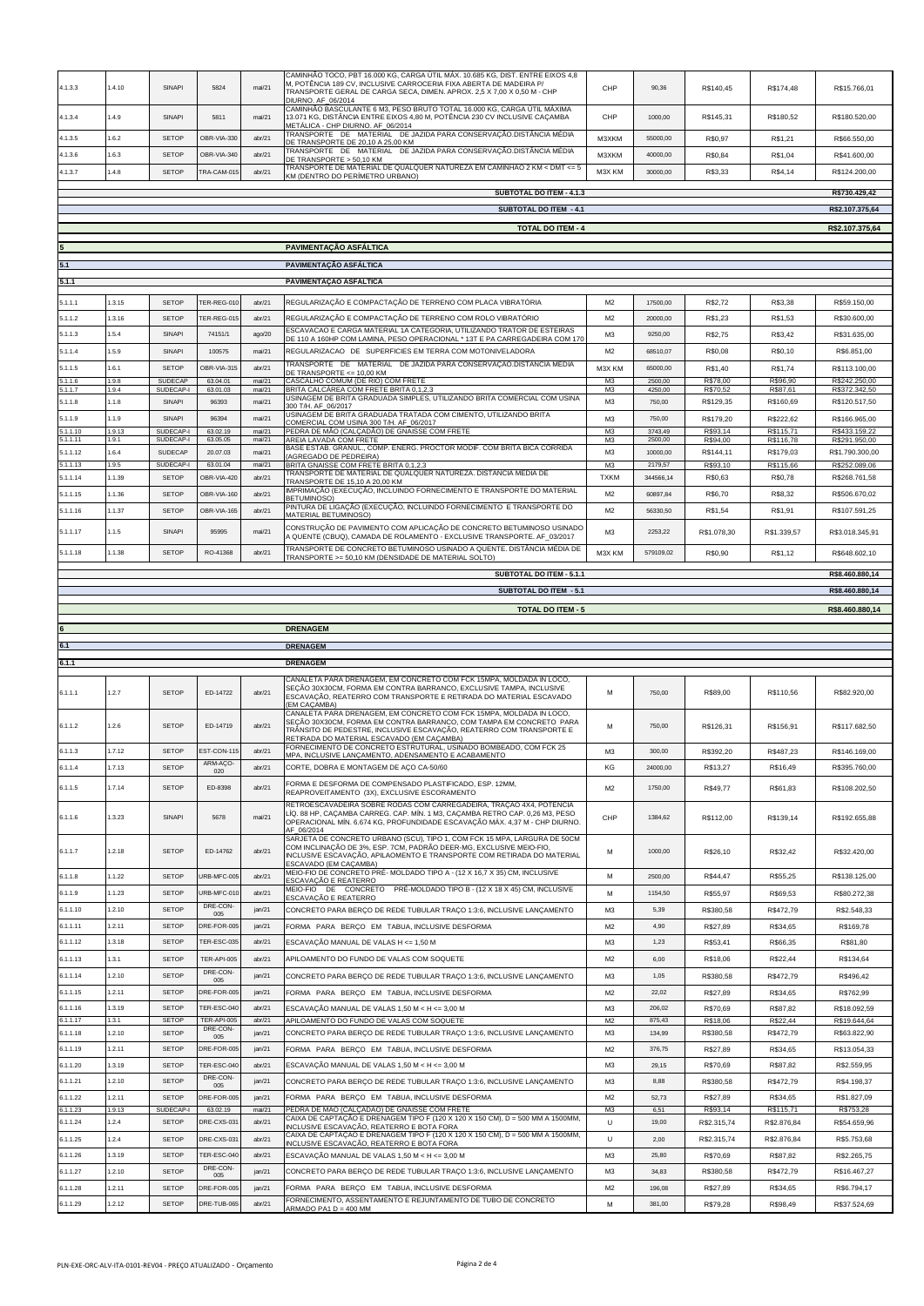| 4.1.3.3              | 1.4.10           | SINAPI                       | 5824                       | mai/21           | CAMINHÃO TOCO, PBT 16.000 KG, CARGA ÚTIL MÁX. 10.685 KG, DIST. ENTRE EIXOS 4,8<br>M, POTÊNCIA 189 CV, INCLUSIVE CARROCERIA FIXA ABERTA DE MADEIRA P/<br>TRANSPORTE GERAL DE CARGA SECA, DIMEN. APROX. 2,5 X 7,00 X 0,50 M - CHP<br>DIURNO. AF_06/2014 | CHP                              | 90,36              | R\$140,45             | R\$174,48              | R\$15.766,01                   |
|----------------------|------------------|------------------------------|----------------------------|------------------|-------------------------------------------------------------------------------------------------------------------------------------------------------------------------------------------------------------------------------------------------------|----------------------------------|--------------------|-----------------------|------------------------|--------------------------------|
| 4.1.3.4              | 1.4.9            | SINAPI                       | 5811                       | mai/21           | CAMINHÃO BASCULANTE 6 M3, PESO BRUTO TOTAL 16.000 KG, CARGA ÚTIL MÁXIMA<br>13.071 KG, DISTÂNCIA ENTRE EIXOS 4,80 M, POTÊNCIA 230 CV INCLUSIVE CAÇAMBA<br>METÁLICA - CHP DIURNO. AF_06/2014                                                            | CHP                              | 1000.00            | R\$145,31             | R\$180,52              | R\$180.520,00                  |
| 4.1.3.5              | 1.6.2            | <b>SETOP</b>                 | OBR-VIA-330                | abr/21           | TRANSPORTE DE MATERIAL DE JAZIDA PARA CONSERVAÇÃO.DISTÂNCIA MÉDIA<br>DE TRANSPORTE DE 20,10 A 25,00 KM                                                                                                                                                | M3XKM                            | 55000,00           | R\$0,97               | R\$1,21                | R\$66.550,00                   |
| 4.1.3.6              | 1.6.3            | <b>SETOP</b>                 | OBR-VIA-340                | abr/21           | TRANSPORTE DE MATERIAL DE JAZIDA PARA CONSERVAÇÃO.DISTÂNCIA MÉDIA<br>DE TRANSPORTE > 50.10 KM                                                                                                                                                         | M3XKM                            | 40000,00           | R\$0,84               | R\$1,04                | R\$41.600,00                   |
| 4.1.3.7              | 1.4.8            | <b>SETOP</b>                 | TRA-CAM-015                | abr/21           | TRANSPORTE DE MATERIAL DE QUALQUER NATUREZA EM CAMINHÃO 2 KM < DMT <= 5<br>KM (DENTRO DO PERÍMETRO URBANO)                                                                                                                                            | M3X KM                           | 30000.00           | R\$3,33               | R\$4,14                | R\$124.200,00                  |
|                      |                  |                              |                            |                  | SUBTOTAL DO ITEM - 4.1.3                                                                                                                                                                                                                              |                                  |                    |                       |                        | R\$730.429,42                  |
|                      |                  |                              |                            |                  | SUBTOTAL DO ITEM - 4.1                                                                                                                                                                                                                                |                                  |                    |                       |                        | R\$2.107.375,64                |
|                      |                  |                              |                            |                  | <b>TOTAL DO ITEM - 4</b>                                                                                                                                                                                                                              |                                  |                    |                       |                        | R\$2.107.375,64                |
|                      |                  |                              |                            |                  | PAVIMENTAÇÃO ASFÁLTICA                                                                                                                                                                                                                                |                                  |                    |                       |                        |                                |
|                      |                  |                              |                            |                  | PAVIMENTAÇÃO ASFÁLTICA                                                                                                                                                                                                                                |                                  |                    |                       |                        |                                |
| 5.1.1                |                  |                              |                            |                  | PAVIMENTAÇÃO ASFÁLTICA                                                                                                                                                                                                                                |                                  |                    |                       |                        |                                |
| 5.1.1.1              | 1.3.15           | <b>SETOP</b>                 | TER-REG-010                | abr/21           |                                                                                                                                                                                                                                                       | M <sub>2</sub>                   | 17500,00           |                       |                        |                                |
| 5.1.1.2              | 1.3.16           | <b>SETOP</b>                 | TER-REG-015                | abr/21           | REGULARIZAÇÃO E COMPACTAÇÃO DE TERRENO COM PLACA VIBRATÓRIA<br>REGULARIZAÇÃO E COMPACTAÇÃO DE TERRENO COM ROLO VIBRATÓRIO                                                                                                                             | M <sub>2</sub>                   | 20000,00           | R\$2,72<br>R\$1,23    | R\$3,38<br>R\$1,53     | R\$59.150,00<br>R\$30.600,00   |
| 5.1.1.3              | 1.5.4            | SINAPI                       | 74151/1                    | ago/20           | ESCAVACAO E CARGA MATERIAL 1A CATEGORIA, UTILIZANDO TRATOR DE ESTEIRAS                                                                                                                                                                                | M <sub>3</sub>                   | 9250.00            | R\$2,75               | R\$3,42                | R\$31.635,00                   |
| 5.1.1.4              | 1.5.9            | SINAPI                       | 100575                     | mai/21           | DE 110 A 160HP COM LAMINA, PESO OPERACIONAL * 13T E PA CARREGADEIRA COM 170<br>REGULARIZACAO DE SUPERFICIES EM TERRA COM MOTONIVELADORA                                                                                                               | M <sub>2</sub>                   | 68510,07           | R\$0,08               | R\$0,10                | R\$6.851,00                    |
| 5.1.1.5              | 1.6.1            | <b>SETOP</b>                 | OBR-VIA-315                | abr/21           | TRANSPORTE DE MATERIAL DE JAZIDA PARA CONSERVAÇÃO.DISTÂNCIA MÉDIA                                                                                                                                                                                     | M3X KM                           | 65000.00           | R\$1,40               | R\$1,74                | R\$113.100,00                  |
| 5.1.1.6<br>.1.1.7    | 1.9.8            | SUDECAP                      | 63.04.01                   | mai/21           | DE TRANSPORTE <= 10,00 KM<br>CASCALHO COMUM (DE RIO) COM FRETE                                                                                                                                                                                        | M <sub>3</sub>                   | 2500,00            | R\$78,00              | R\$96,90               | R\$242.250,00                  |
| 5.1.1.8              | 1.9.4<br>1.1.8   | SUDECAP-I<br>SINAPI          | 63.01.03<br>96393          | mai/21<br>mai/21 | BRITA CALCÁREA COM FRETE BRITA 0,1,2,3<br>USINAGEM DE BRITA GRADUADA SIMPLES, UTILIZANDO BRITA COMERCIAL COM USINA                                                                                                                                    | M <sub>3</sub><br>M <sub>3</sub> | 4250,00<br>750.00  | R\$70,52<br>R\$129,35 | R\$87,61<br>R\$160,69  | R\$372.342,50<br>R\$120.517,50 |
| 5.1.1.9              | 1.1.9            | SINAPI                       | 96394                      | mai/21           | 300 T/H. AF_06/2017<br>USINAGEM DE BRITA GRADUADA TRATADA COM CIMENTO, UTILIZANDO BRITA<br>COMERCIAL COM USINA 300 T/H. AF_06/2017                                                                                                                    | M <sub>3</sub>                   | 750,00             | R\$179,20             | R\$222,62              | R\$166.965,00                  |
| 5.1.1.10<br>.1.1.11  | 1.9.13<br>1.9.1  | SUDECAP-I<br>SUDECAP-I       | 63.02.19<br>63.05.05       | mai/21<br>mai/21 | PEDRA DE MÃO (CALCADÃO) DE GNAISSE COM FRETE<br>AREIA LAVADA COM FRETE                                                                                                                                                                                | M <sub>3</sub><br>M3             | 3743,49<br>2500,00 | R\$93,14<br>R\$94,00  | R\$115,71<br>R\$116,78 | R\$433.159,22<br>R\$291.950,00 |
| 5.1.1.12             | 1.6.4            | SUDECAP                      | 20.07.03                   | mai/21           | BASE ESTAB, GRANUL., COMP, ENERG, PROCTOR MODIF, COM BRITA BICA CORRIDA<br>(AGREGADO DE PEDREIRA)                                                                                                                                                     | M <sub>3</sub>                   | 10000,00           | R\$144,11             | R\$179,03              | R\$1.790.300,00                |
| 5.1.1.13             | 1.95             | SUDECAP-I                    | 63.01.04                   | mai/21           | BRITA GNAISSE COM FRETE BRITA 0,1,2,3<br>TRANSPORTE DE MATERIAL DE QUALQUER NATUREZA. DISTÂNCIA MÉDIA DE                                                                                                                                              | M <sub>3</sub>                   | 2179,57            | R\$93,10              | R\$115,66              | R\$252.089,06                  |
| 5.1.1.14             | 1.1.39           | <b>SETOP</b>                 | OBR-VIA-420                | abr/21           | FRANSPORTE DE 15,10 A 20,00 KM<br>IMPRIMAÇÃO (EXECUÇÃO, INCLUINDO FORNECIMENTO E TRANSPORTE DO MATERIAL                                                                                                                                               | <b>TXKM</b>                      | 344566,14          | R\$0,63               | R\$0,78                | R\$268.761,58                  |
| 5.1.1.15             | 1.1.36           | <b>SETOP</b>                 | OBR-VIA-160                | abr/21           | <b>BETUMINOSO)</b><br>PINTURA DE LIGAÇÃO (EXECUÇÃO, INCLUINDO FORNECIMENTO E TRANSPORTE DO                                                                                                                                                            | M <sub>2</sub>                   | 60897.84           | R\$6,70               | R\$8,32                | R\$506.670,02                  |
| 5.1.1.16             | 1.1.37           | <b>SETOP</b>                 | OBR-VIA-165                | abr/21           | MATERIAL BETUMINOSO)<br>CONSTRUÇÃO DE PAVIMENTO COM APLICAÇÃO DE CONCRETO BETUMINOSO USINADO                                                                                                                                                          | M <sub>2</sub>                   | 56330,50           | R\$1,54               | R\$1,91                | R\$107.591,25                  |
| 5.1.1.17             | 1.1.5            | SINAPI                       | 95995                      | mai/21           | A QUENTE (CBUQ), CAMADA DE ROLAMENTO - EXCLUSIVE TRANSPORTE. AF_03/2017                                                                                                                                                                               | M <sub>3</sub>                   | 2253,22            | R\$1.078,30           | R\$1.339,57            | R\$3.018.345,91                |
| 5.1.1.18             | 1.1.38           | <b>SETOP</b>                 | RO-41368                   | abr/21           | TRANSPORTE DE CONCRETO BETUMINOSO USINADO A QUENTE. DISTÂNCIA MÉDIA DE<br>TRANSPORTE >= 50,10 KM (DENSIDADE DE MATERIAL SOLTO)                                                                                                                        | M3X KM                           | 579109,02          | R\$0,90               | R\$1,12                | R\$648.602,10                  |
|                      |                  |                              |                            |                  | SUBTOTAL DO ITEM - 5.1.1                                                                                                                                                                                                                              |                                  |                    |                       |                        | R\$8.460.880,14                |
|                      |                  |                              |                            |                  | <b>SUBTOTAL DO ITEM - 5.1</b>                                                                                                                                                                                                                         |                                  |                    |                       |                        | R\$8.460.880,14                |
|                      |                  |                              |                            |                  | <b>TOTAL DO ITEM - 5</b>                                                                                                                                                                                                                              |                                  |                    |                       |                        | R\$8.460.880,14                |
|                      |                  |                              |                            |                  | <b>DRENAGEM</b>                                                                                                                                                                                                                                       |                                  |                    |                       |                        |                                |
|                      |                  |                              |                            |                  | <b>DRENAGEM</b>                                                                                                                                                                                                                                       |                                  |                    |                       |                        |                                |
| 6.1.1                |                  |                              |                            |                  | <b>DRENAGEM</b>                                                                                                                                                                                                                                       |                                  |                    |                       |                        |                                |
|                      |                  |                              |                            |                  | CANALETA PARA DRENAGEM, EM CONCRETO COM FCK 15MPA, MOLDADA IN LOCO,                                                                                                                                                                                   |                                  |                    |                       |                        |                                |
| 6.1.1.1              | 1.2.7            | <b>SETOP</b>                 |                            |                  |                                                                                                                                                                                                                                                       |                                  |                    |                       |                        |                                |
| 6.1.1.2              |                  |                              | ED-14722                   | abr/21           | SEÇÃO 30X30CM, FORMA EM CONTRA BARRANCO, EXCLUSIVE TAMPA, INCLUSIVE<br>ESCAVAÇÃO. REATERRO COM TRANSPORTE E RETIRADA DO MATERIAL ESCAVADO<br>(EM CAÇAMBA)                                                                                             | М                                | 750,00             | R\$89,00              | R\$110,56              | R\$82.920,00                   |
|                      | 1.2.6            | <b>SETOP</b>                 | ED-14719                   | abr/21           | CANALETA PARA DRENAGEM, EM CONCRETO COM FCK 15MPA, MOLDADA IN LOCO,<br>SEÇÃO 30X30CM, FORMA EM CONTRA BARRANCO, COM TAMPA EM CONCRETO PARA<br>TRÂNSITO DE PEDESTRE, INCLUSIVE ESCAVAÇÃO, REATERRO COM TRANSPORTE E                                    | М                                | 750,00             | R\$126,31             | R\$156,91              | R\$117.682,50                  |
| 6.1.1.3              | 1.7.12           | <b>SETOP</b>                 | EST-CON-115                | abr/21           | RETIRADA DO MATERIAL ESCAVADO (EM CAÇAMBA)<br>FORNECIMENTO DE CONCRETO ESTRUTURAL, USINADO BOMBEADO, COM FCK 25                                                                                                                                       | M <sub>3</sub>                   | 300,00             | R\$392,20             | R\$487,23              | R\$146.169,00                  |
| 6.1.1.4              | 1.7.13           | <b>SETOP</b>                 | ARM-AÇO-<br>020            | abr/21           | MPA, INCLUSIVE LANÇAMENTO, ADENSAMENTO E ACABAMENTO<br>CORTE, DOBRA E MONTAGEM DE AÇO CA-50/60                                                                                                                                                        | КG                               | 24000,00           | R\$13,27              | R\$16,49               | R\$395.760,00                  |
| 6.1.1.5              | 1.7.14           | <b>SETOP</b>                 | ED-8398                    | abr/21           | FORMA E DESFORMA DE COMPENSADO PLASTIFICADO, ESP. 12MM,                                                                                                                                                                                               | M <sup>2</sup>                   | 1750.00            | R\$49,77              | R\$61.83               | R\$108,202.50                  |
| 6.1.1.6              | 1.3.23           | SINAPI                       | 5678                       | mai/21           | REAPROVEITAMENTO (3X), EXCLUSIVE ESCORAMENTO<br>RETROESCAVADEIRA SOBRE RODAS COM CARREGADEIRA, TRAÇÃO 4X4, POTÊNCIA<br>LÍQ. 88 HP, CAÇAMBA CARREG. CAP. MÍN. 1 M3, CAÇAMBA RETRO CAP. 0,26 M3, PESO                                                   | CHP                              | 1384,62            | R\$112,00             | R\$139,14              | R\$192.655,88                  |
|                      |                  |                              |                            |                  | OPERACIONAL MÍN. 6.674 KG, PROFUNDIDADE ESCAVAÇÃO MÁX. 4,37 M - CHP DIURNO.<br>AF 06/2014<br>SARJETA DE CONCRETO URBANO (SCU), TIPO 1, COM FCK 15 MPA, LARGURA DE 50CM                                                                                |                                  |                    |                       |                        |                                |
| 6.1.1.7<br>6.1.1.8   | 1.2.18<br>1.1.22 | <b>SETOP</b><br><b>SETOP</b> | ED-14762<br>URB-MFC-005    | abr/21<br>abr/21 | COM INCLINAÇÃO DE 3%, ESP. 7CM, PADRÃO DEER-MG, EXCLUSIVE MEIO-FIO,<br>INCLUSIVE ESCAVAÇÃO, APILAOMENTO E TRANSPORTE COM RETIRADA DO MATERIAL<br>ESCAVADO (EM CAÇAMBA)<br>MEIO-FIO DE CONCRETO PRÉ- MOLDADO TIPO A - (12 X 16,7 X 35) CM, INCLUSIVE   | М<br>M                           | 1000,00<br>2500.00 | R\$26,10              | R\$32,42               | R\$32.420,00<br>R\$138.125,00  |
| 6.1.1.9              | 1.1.23           | <b>SETOP</b>                 | URB-MFC-01                 | abr/21           | <u>ESCAVAÇÃO E REATERRO</u><br>MEIO-FIO DE CONCRETO PRÉ-MOLDADO TIPO B - (12 X 18 X 45) CM, INCLUSIVE                                                                                                                                                 | M                                | 1154.50            | R\$44,47              | R\$55,25               |                                |
| 6.1.1.10             | 1.2.10           | <b>SETOP</b>                 | DRE-CON-                   | jan/21           | ESCAVAÇÃO E REATERRO                                                                                                                                                                                                                                  | M <sub>3</sub>                   | 5,39               | R\$55,97<br>R\$380,58 | R\$69,53               | R\$80.272,38                   |
| 6.1.1.11             | 1.2.11           | <b>SETOP</b>                 | 005<br>DRE-FOR-005         | jan/21           | CONCRETO PARA BERÇO DE REDE TUBULAR TRAÇO 1:3:6, INCLUSIVE LANÇAMENTO<br>FORMA PARA BERÇO EM TABUA, INCLUSIVE DESFORMA                                                                                                                                | M <sub>2</sub>                   | 4,90               | R\$27,89              | R\$472,79<br>R\$34,65  | R\$2.548,33<br>R\$169,78       |
| 6.1.1.12             | 1.3.18           | <b>SETOP</b>                 | TER-ESC-035                | abr/21           | ESCAVAÇÃO MANUAL DE VALAS H <= 1,50 M                                                                                                                                                                                                                 | M <sub>3</sub>                   | 1,23               | R\$53,41              | R\$66,35               | R\$81,80                       |
| 6.1.1.13             | 1.3.1            | <b>SETOP</b>                 | <b>TER-API-005</b>         | abr/21           | APILOAMENTO DO FUNDO DE VALAS COM SOQUETE                                                                                                                                                                                                             | M <sub>2</sub>                   | 6,00               | R\$18,06              | R\$22,44               | R\$134,64                      |
| 6.1.1.14             | 1.2.10           | <b>SETOP</b>                 | DRE-CON-                   | ian/21           | CONCRETO PARA BERÇO DE REDE TUBULAR TRAÇO 1:3:6, INCLUSIVE LANÇAMENTO                                                                                                                                                                                 | M <sub>3</sub>                   | 1.05               | R\$380,58             | R\$472,79              | R\$496,42                      |
| 6.1.1.15             | 1.2.11           | <b>SETOP</b>                 | 005<br>DRE-FOR-005         | ian/21           | FORMA PARA BERÇO EM TABUA, INCLUSIVE DESFORMA                                                                                                                                                                                                         | M <sub>2</sub>                   | 22.02              | R\$27.89              | R\$34.65               | R\$762.99                      |
| 6.1.1.16             | 1.3.19           | <b>SETOP</b>                 | TER-ESC-040                | abr/21           | ESCAVAÇÃO MANUAL DE VALAS 1,50 M < H <= 3,00 M                                                                                                                                                                                                        | M <sub>3</sub>                   | 206.02             | R\$70,69              | R\$87,82               | R\$18.092,59                   |
| 6.1.1.17             | 1.3.1            | SETOP                        | TER-API-005<br>DRE-CON-    | abr/21           | APILOAMENTO DO FUNDO DE VALAS COM SOQUETE                                                                                                                                                                                                             | M <sub>2</sub>                   | 875,43             | R\$18,06              | R\$22,44               | R\$19.644,64                   |
| 6.1.1.18             | 1.2.10           | <b>SETOP</b>                 | 005                        | jan/21           | CONCRETO PARA BERÇO DE REDE TUBULAR TRAÇO 1:3:6, INCLUSIVE LANÇAMENTO                                                                                                                                                                                 | M <sub>3</sub>                   | 134.99             | R\$380,58             | R\$472,79              | R\$63.822,90                   |
| 6.1.1.19             | 1.2.11           | <b>SETOP</b>                 | DRE-FOR-005                | jan/21           | FORMA PARA BERÇO EM TABUA, INCLUSIVE DESFORMA                                                                                                                                                                                                         | M <sub>2</sub>                   | 376,75             | R\$27,89              | R\$34,65               | R\$13.054,33                   |
| 6.1.1.20             | 1.3.19           | <b>SETOP</b>                 | TER-ESC-040<br>DRE-CON-    | abr/21           | ESCAVAÇÃO MANUAL DE VALAS 1,50 M < H <= 3,00 M                                                                                                                                                                                                        | M3                               | 29,15              | R\$70,69              | R\$87,82               | R\$2.559,95                    |
| 6.1.1.21             | 1.2.10           | <b>SETOP</b><br><b>SETOP</b> | 005<br>DRE-FOR-005         | jan/21           | CONCRETO PARA BERÇO DE REDE TUBULAR TRAÇO 1:3:6, INCLUSIVE LANÇAMENTO                                                                                                                                                                                 | M <sub>3</sub>                   | 8,88<br>52.73      | R\$380,58             | R\$472,79              | R\$4,198,37                    |
| 6.1.1.22<br>6.1.1.23 | 1.2.11<br>1.9.13 | SUDECAP-I                    | 63.02.19                   | jan/21<br>mail21 | FORMA PARA BERÇO EM TABUA, INCLUSIVE DESFORMA<br>PEDRA DE MÃO (CALÇADÃO) DE GNAISSE COM FRETE                                                                                                                                                         | M <sub>2</sub><br>MЗ             | 6,51               | R\$27,89<br>R\$93,14  | R\$34,65<br>R\$115,71  | R\$1.827,09<br>R\$753,28       |
| 6.1.1.24             | 1.2.4            | <b>SETOP</b>                 | DRE-CXS-031                | abr/21           | CAIXA DE CAPTAÇÃO E DRENAGEM TIPO F (120 X 120 X 150 CM), D = 500 MM A 1500MM,<br>INCLUSIVE ESCAVAÇÃO, REATERRO E BOTA FORA                                                                                                                           | $\cup$                           | 19,00              | R\$2.315,74           | R\$2.876,84            | R\$54.659,96                   |
| 6.1.1.25             | 1.2.4            | <b>SETOP</b>                 | DRE-CXS-031                | abr/21           | CAIXA DE CAPTAÇÃO E DRENAGEM TIPO F (120 X 120 X 150 CM), D = 500 MM A 1500MM,<br>INCLUSIVE ESCAVAÇÃO, REATERRO E BOTA FORA                                                                                                                           | U                                | 2.00               | R\$2.315,74           | R\$2.876,84            | R\$5.753,68                    |
| 6.1.1.26             | 1.3.19           | <b>SETOP</b>                 | TER-ESC-040                | abr/21           | ESCAVAÇÃO MANUAL DE VALAS 1,50 M < H <= 3,00 M                                                                                                                                                                                                        | M <sub>3</sub>                   | 25.80              | R\$70,69              | R\$87.82               | R\$2,265.75                    |
| 6.1.1.27             | 1.2.10           | <b>SETOP</b>                 | DRE-CON-<br>005            | ian/21           | CONCRETO PARA BERÇO DE REDE TUBULAR TRAÇO 1:3:6, INCLUSIVE LANÇAMENTO                                                                                                                                                                                 | M <sub>3</sub>                   | 34.83              | R\$380,58             | R\$472,79              | R\$16,467.27                   |
| 6.1.1.28<br>6.1.1.29 | 1.2.11<br>1.2.12 | <b>SETOP</b><br><b>SETOP</b> | DRE-FOR-005<br>DRE-TUB-065 | ian/21<br>abr/21 | FORMA PARA BERÇO EM TABUA, INCLUSIVE DESFORMA<br>FORNECIMENTO, ASSENTAMENTO E REJUNTAMENTO DE TUBO DE CONCRETO                                                                                                                                        | M <sub>2</sub><br>М              | 196.08<br>381.00   | R\$27.89<br>R\$79,28  | R\$34.65<br>R\$98,49   | R\$6,794.17<br>R\$37.524,69    |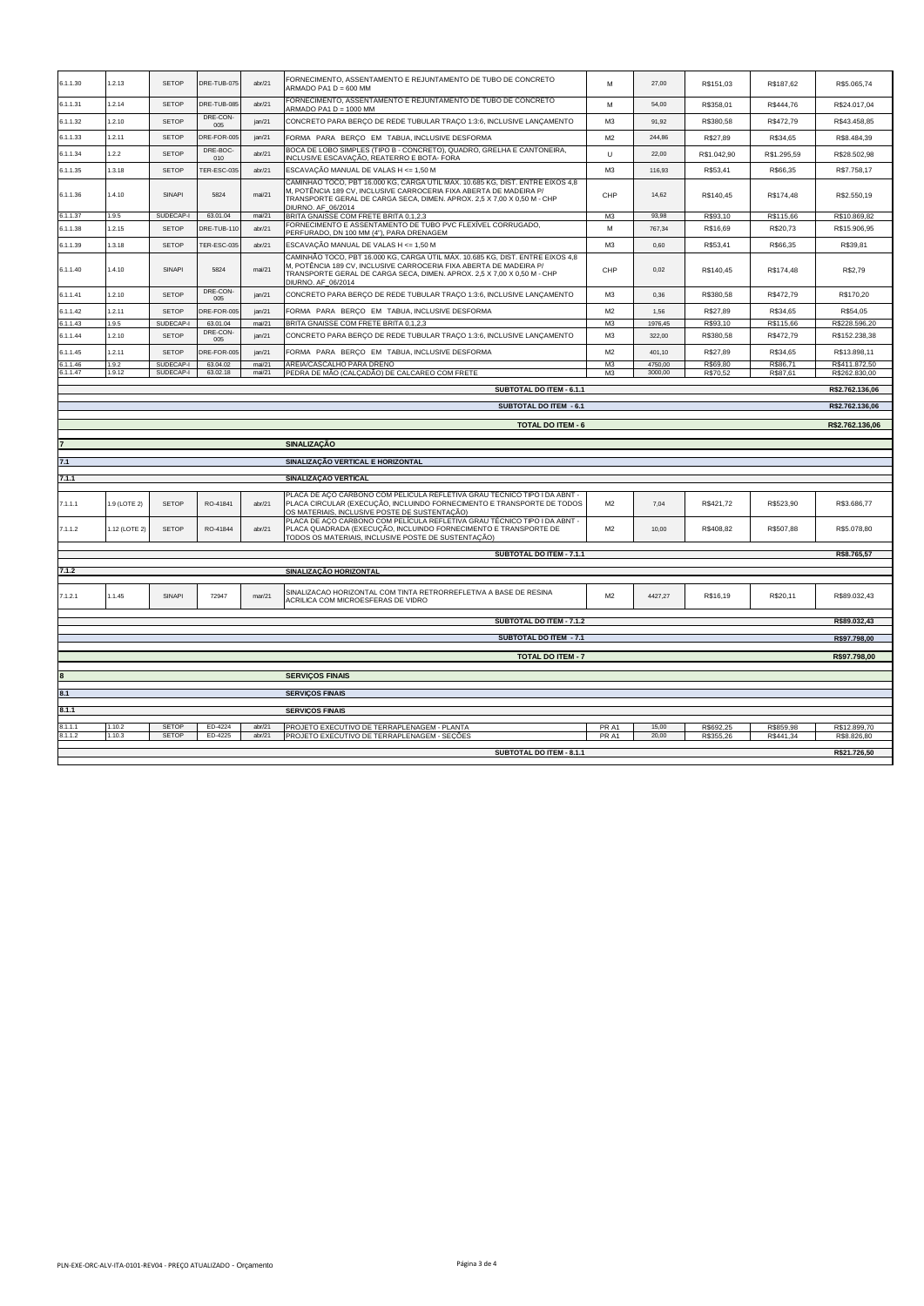| 6.1.1.30           | 1.2.13          | <b>SETOP</b>           | DRE-TUB-075          | abr/21            | FORNECIMENTO, ASSENTAMENTO E REJUNTAMENTO DE TUBO DE CONCRETO<br>ARMADO PA1 D = 600 MM                                                                                                                                                                | M                                | 27,00              | R\$151,03            | R\$187,62            | R\$5.065,74                    |
|--------------------|-----------------|------------------------|----------------------|-------------------|-------------------------------------------------------------------------------------------------------------------------------------------------------------------------------------------------------------------------------------------------------|----------------------------------|--------------------|----------------------|----------------------|--------------------------------|
| 6.1.1.31           | .2.14           | <b>SETOP</b>           | DRE-TUB-08           | abr/21            | FORNECIMENTO, ASSENTAMENTO E REJUNTAMENTO DE TUBO DE CONCRETO<br>ARMADO PA1 D = 1000 MM                                                                                                                                                               | M                                | 54,00              | R\$358,01            | R\$444,76            | R\$24.017,04                   |
| 6.1.1.32           | 1.2.10          | <b>SETOP</b>           | DRE-CON-<br>005      | ian/21            | CONCRETO PARA BERÇO DE REDE TUBULAR TRAÇO 1:3:6, INCLUSIVE LANÇAMENTO                                                                                                                                                                                 | M <sub>3</sub>                   | 91,92              | R\$380,58            | R\$472,79            | R\$43.458,85                   |
| 6.1.1.33           | 1.2.11          | <b>SETOP</b>           | DRE-FOR-005          | jan/21            | FORMA PARA BERCO EM TABUA, INCLUSIVE DESFORMA                                                                                                                                                                                                         | M <sub>2</sub>                   | 244,86             | R\$27,89             | R\$34,65             | R\$8.484,39                    |
| 6.1.1.34           | 1.2.2           | <b>SETOP</b>           | DRE-BOC-<br>010      | abr/21            | BOCA DE LOBO SIMPLES (TIPO B - CONCRETO), QUADRO, GRELHA E CANTONEIRA,<br>INCLUSIVE ESCAVAÇÃO, REATERRO E BOTA- FORA                                                                                                                                  | U                                | 22,00              | R\$1.042,90          | R\$1,295.59          | R\$28,502.98                   |
| 6.1.1.35           | 1.3.18          | <b>SETOP</b>           | TER-ESC-035          | abr/21            | ESCAVAÇÃO MANUAL DE VALAS H <= 1,50 M                                                                                                                                                                                                                 | M3                               | 116,93             | R\$53,41             | R\$66.35             | R\$7.758.17                    |
| 6.1.1.36           | 1.4.10          | SINAPI                 | 5824                 | mai/21            | CAMINHÃO TOCO, PBT 16.000 KG, CARGA ÚTIL MÁX. 10.685 KG, DIST. ENTRE EIXOS 4,8<br>M, POTÊNCIA 189 CV, INCLUSIVE CARROCERIA FIXA ABERTA DE MADEIRA P/<br>TRANSPORTE GERAL DE CARGA SECA, DIMEN. APROX. 2,5 X 7,00 X 0,50 M - CHP<br>DIURNO, AF 06/2014 | CHP                              | 14,62              | R\$140,45            | R\$174,48            | R\$2.550,19                    |
| 6.1.1.37           | 1.9.5           | SUDECAP-I              | 63.01.04             | mai/21            | BRITA GNAISSE COM FRETE BRITA 0,1,2,3                                                                                                                                                                                                                 | M <sub>3</sub>                   | 93,98              | R\$93,10             | R\$115,66            | R\$10.869,82                   |
| 6.1.1.38           | 1.2.15          | <b>SETOP</b>           | DRE-TUB-110          | ahr/21            | FORNECIMENTO E ASSENTAMENTO DE TUBO PVC FLEXÍVEL CORRUGADO.<br>PERFURADO, DN 100 MM (4"), PARA DRENAGEM                                                                                                                                               | M                                | 767,34             | R\$16.69             | R\$20.73             | R\$15,906.95                   |
| 6.1.1.39           | 1.3.18          | <b>SETOP</b>           | <b>TER-ESC-035</b>   | abr/21            | ESCAVAÇÃO MANUAL DE VALAS H <= 1,50 M                                                                                                                                                                                                                 | M3                               | 0.60               | R\$53,41             | R\$66,35             | R\$39,81                       |
| 6.1.1.40           | 1.4.10          | SINAPI                 | 5824                 | mai/21            | CAMINHÃO TOCO, PBT 16.000 KG, CARGA ÚTIL MÁX. 10.685 KG, DIST. ENTRE EIXOS 4,8<br>M, POTÊNCIA 189 CV, INCLUSIVE CARROCERIA FIXA ABERTA DE MADEIRA P/<br>TRANSPORTE GERAL DE CARGA SECA, DIMEN. APROX. 2,5 X 7,00 X 0,50 M - CHP<br>DIURNO. AF_06/2014 | CHP                              | 0.02               | R\$140,45            | R\$174,48            | R\$2,79                        |
| 6.1.1.41           | 1.2.10          | <b>SETOP</b>           | DRE-CON-<br>005      | jan/21            | CONCRETO PARA BERÇO DE REDE TUBULAR TRAÇO 1:3:6, INCLUSIVE LANÇAMENTO                                                                                                                                                                                 | M <sub>3</sub>                   | 0.36               | R\$380,58            | R\$472,79            | R\$170,20                      |
| 6.1.1.42           | 1.2.11          | <b>SETOP</b>           | DRE-FOR-005          | ian/21            | FORMA PARA BERÇO EM TABUA, INCLUSIVE DESFORMA                                                                                                                                                                                                         | M <sub>2</sub>                   | 1.56               | R\$27.89             | R\$34.65             | R\$54.05                       |
| 6.1.1.43           | 1.9.5           | SUDECAP-I              | 63.01.04<br>DRE-CON- | mai/21            | BRITA GNAISSE COM FRETE BRITA 0,1,2,3                                                                                                                                                                                                                 | M <sub>3</sub>                   | 1976,45            | R\$93,10             | R\$115,66            | R\$228.596,20                  |
| 6.1.1.44           | 1.2.10          | <b>SETOP</b>           | 005                  | jan/21            | CONCRETO PARA BERCO DE REDE TUBULAR TRAÇO 1:3:6, INCLUSIVE LANCAMENTO                                                                                                                                                                                 | M <sub>3</sub>                   | 322,00             | R\$380,58            | R\$472,79            | R\$152.238,38                  |
| 3.1.1.45           | 1.2.11          | <b>SETOP</b>           | DRE-FOR-005          | jan/21            | FORMA PARA BERÇO EM TABUA, INCLUSIVE DESFORMA                                                                                                                                                                                                         | M <sub>2</sub>                   | 401,10             | R\$27.89             | R\$34.65             | R\$13,898.11                   |
| 1.1.46<br>3.1.1.47 | 1.9.2<br>1.9.12 | SUDECAP-I<br>SUDECAP-I | 63,04.02<br>63.02.18 | mai/21<br>mail/21 | AREIA/CASCALHO PARA DRENO<br>PEDRA DE MÃO (CALÇADÃO) DE CALCAREO COM FRETE                                                                                                                                                                            | M <sub>3</sub><br>M <sub>3</sub> | 4750.00<br>3000,00 | R\$69.80<br>R\$70,52 | R\$86,71<br>R\$87,61 | R\$411.872,50<br>R\$262.830,00 |
|                    |                 |                        |                      |                   | SUBTOTAL DO ITEM - 6.1.1                                                                                                                                                                                                                              |                                  |                    |                      |                      | R\$2.762.136,06                |
|                    |                 |                        |                      |                   | <b>SUBTOTAL DO ITEM - 6.1</b>                                                                                                                                                                                                                         |                                  |                    |                      |                      | R\$2.762.136.06                |
|                    |                 |                        |                      |                   |                                                                                                                                                                                                                                                       |                                  |                    |                      |                      |                                |
|                    |                 |                        |                      |                   | <b>TOTAL DO ITEM - 6</b>                                                                                                                                                                                                                              |                                  |                    |                      |                      | R\$2.762.136,06                |
|                    |                 |                        |                      |                   | <b>SINALIZAÇÃO</b>                                                                                                                                                                                                                                    |                                  |                    |                      |                      |                                |
| 7.1                |                 |                        |                      |                   | SINALIZAÇÃO VERTICAL E HORIZONTAL                                                                                                                                                                                                                     |                                  |                    |                      |                      |                                |
| 7.1.1              |                 |                        |                      |                   | <b>SINALIZAÇÃO VERTICAL</b>                                                                                                                                                                                                                           |                                  |                    |                      |                      |                                |
| 7.1.1.1            | 1.9 (LOTE 2)    | <b>SETOP</b>           | RO-41841             | abr/21            | PLACA DE AÇO CARBONO COM PELÍCULA REFLETIVA GRAU TÉCNICO TIPO I DA ABNT -<br>PLACA CIRCULAR (EXECUÇÃO, INCLUINDO FORNECIMENTO E TRANSPORTE DE TODOS<br>OS MATERIAIS, INCLUSIVE POSTE DE SUSTENTAÇÃO)                                                  | M <sub>2</sub>                   | 7.04               | R\$421,72            | R\$523,90            | R\$3.686,77                    |
| 7.1.1.2            | .12 (LOTE 2)    | <b>SETOP</b>           | RO-41844             | abr/21            | PLACA DE ACO CARBONO COM PELÍCULA REFLETIVA GRAU TÉCNICO TIPO I DA ABNT -<br>PLACA QUADRADA (EXECUÇÃO, INCLUINDO FORNECIMENTO E TRANSPORTE DE<br>TODOS OS MATERIAIS, INCLUSIVE POSTE DE SUSTENTAÇÃO)                                                  | M <sub>2</sub>                   | 10,00              | R\$408,82            | R\$507,88            | R\$5.078,80                    |
|                    |                 |                        |                      |                   | SUBTOTAL DO ITEM - 7.1.1                                                                                                                                                                                                                              |                                  |                    |                      |                      | R\$8.765,57                    |
| 7.1.2              |                 |                        |                      |                   | SINALIZAÇÃO HORIZONTAL                                                                                                                                                                                                                                |                                  |                    |                      |                      |                                |
| 7.1.2.1            | 1.1.45          | SINAPI                 | 72947                | mar/21            | SINALIZACAO HORIZONTAL COM TINTA RETRORREFLETIVA A BASE DE RESINA<br>ACRILICA COM MICROESFERAS DE VIDRO                                                                                                                                               | M <sub>2</sub>                   | 4427.27            | R\$16,19             | R\$20.11             | R\$89.032,43                   |
|                    |                 |                        |                      |                   | SUBTOTAL DO ITEM - 7.1.2                                                                                                                                                                                                                              |                                  |                    |                      |                      | R\$89.032,43                   |
|                    |                 |                        |                      |                   | <b>SUBTOTAL DO ITEM - 7.1</b>                                                                                                                                                                                                                         |                                  |                    |                      |                      | R\$97.798,00                   |
|                    |                 |                        |                      |                   | <b>TOTAL DO ITEM - 7</b>                                                                                                                                                                                                                              |                                  |                    |                      |                      | R\$97.798,00                   |
|                    |                 |                        |                      |                   | <b>SERVIÇOS FINAIS</b>                                                                                                                                                                                                                                |                                  |                    |                      |                      |                                |
| 8.1                |                 |                        |                      |                   | <b>SERVIÇOS FINAIS</b>                                                                                                                                                                                                                                |                                  |                    |                      |                      |                                |
|                    |                 |                        |                      |                   |                                                                                                                                                                                                                                                       |                                  |                    |                      |                      |                                |
| 8.1.1              |                 |                        |                      |                   | <b>SERVICOS FINAIS</b>                                                                                                                                                                                                                                |                                  |                    |                      |                      |                                |
| 3.1.1.1<br>3.1.1.2 | 1.10.2          | SETOP                  | ED-4224              | abr/21            | PROJETO EXECUTIVO DE TERRAPLENAGEM - PLANTA                                                                                                                                                                                                           | PR A1                            | 15,00              | R\$692,25            | R\$859,98            | R\$12.899,70                   |
|                    | 1.10.3          | <b>SFTOP</b>           | ED-4225              | ahr/21            | PROJETO EXECUTIVO DE TERRAPLENAGEM - SECÕES                                                                                                                                                                                                           | PR A1                            | 20.00              | R\$355,26            | R\$441,34            | R\$8.826,80                    |
|                    |                 |                        |                      |                   | SUBTOTAL DO ITEM - 8.1.1                                                                                                                                                                                                                              |                                  |                    |                      |                      | R\$21.726,50                   |